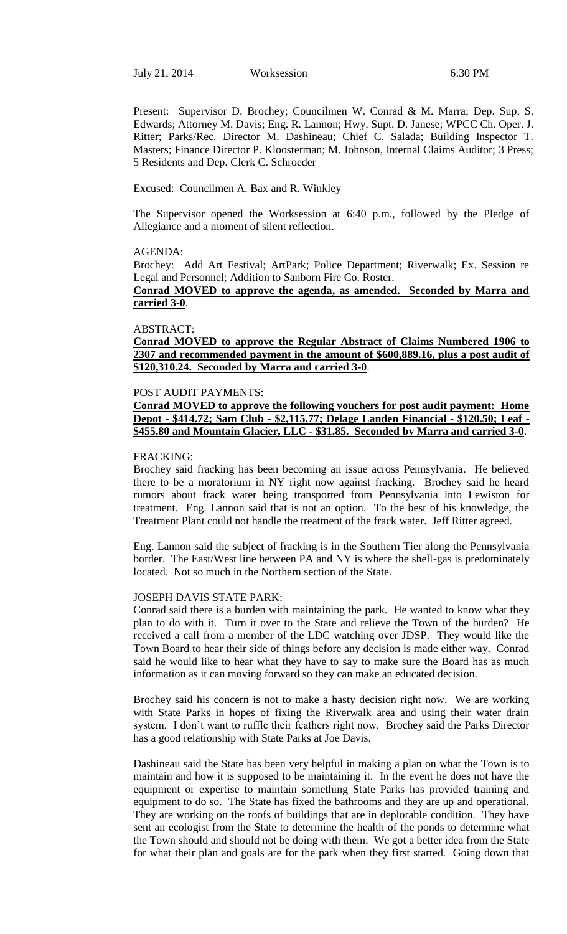July 21, 2014 Worksession 6:30 PM

Present: Supervisor D. Brochey; Councilmen W. Conrad & M. Marra; Dep. Sup. S. Edwards; Attorney M. Davis; Eng. R. Lannon; Hwy. Supt. D. Janese; WPCC Ch. Oper. J. Ritter; Parks/Rec. Director M. Dashineau; Chief C. Salada; Building Inspector T. Masters; Finance Director P. Kloosterman; M. Johnson, Internal Claims Auditor; 3 Press; 5 Residents and Dep. Clerk C. Schroeder

Excused: Councilmen A. Bax and R. Winkley

The Supervisor opened the Worksession at 6:40 p.m., followed by the Pledge of Allegiance and a moment of silent reflection.

#### AGENDA:

Brochey: Add Art Festival; ArtPark; Police Department; Riverwalk; Ex. Session re Legal and Personnel; Addition to Sanborn Fire Co. Roster.

**Conrad MOVED to approve the agenda, as amended. Seconded by Marra and carried 3-0**.

#### ABSTRACT:

**Conrad MOVED to approve the Regular Abstract of Claims Numbered 1906 to 2307 and recommended payment in the amount of \$600,889.16, plus a post audit of \$120,310.24. Seconded by Marra and carried 3-0**.

## POST AUDIT PAYMENTS:

**Conrad MOVED to approve the following vouchers for post audit payment: Home Depot - \$414.72; Sam Club - \$2,115.77; Delage Landen Financial - \$120.50; Leaf - \$455.80 and Mountain Glacier, LLC - \$31.85. Seconded by Marra and carried 3-0**.

### FRACKING:

Brochey said fracking has been becoming an issue across Pennsylvania. He believed there to be a moratorium in NY right now against fracking. Brochey said he heard rumors about frack water being transported from Pennsylvania into Lewiston for treatment. Eng. Lannon said that is not an option. To the best of his knowledge, the Treatment Plant could not handle the treatment of the frack water. Jeff Ritter agreed.

Eng. Lannon said the subject of fracking is in the Southern Tier along the Pennsylvania border. The East/West line between PA and NY is where the shell-gas is predominately located. Not so much in the Northern section of the State.

#### JOSEPH DAVIS STATE PARK:

Conrad said there is a burden with maintaining the park. He wanted to know what they plan to do with it. Turn it over to the State and relieve the Town of the burden? He received a call from a member of the LDC watching over JDSP. They would like the Town Board to hear their side of things before any decision is made either way. Conrad said he would like to hear what they have to say to make sure the Board has as much information as it can moving forward so they can make an educated decision.

Brochey said his concern is not to make a hasty decision right now. We are working with State Parks in hopes of fixing the Riverwalk area and using their water drain system. I don't want to ruffle their feathers right now. Brochey said the Parks Director has a good relationship with State Parks at Joe Davis.

Dashineau said the State has been very helpful in making a plan on what the Town is to maintain and how it is supposed to be maintaining it. In the event he does not have the equipment or expertise to maintain something State Parks has provided training and equipment to do so. The State has fixed the bathrooms and they are up and operational. They are working on the roofs of buildings that are in deplorable condition. They have sent an ecologist from the State to determine the health of the ponds to determine what the Town should and should not be doing with them. We got a better idea from the State for what their plan and goals are for the park when they first started. Going down that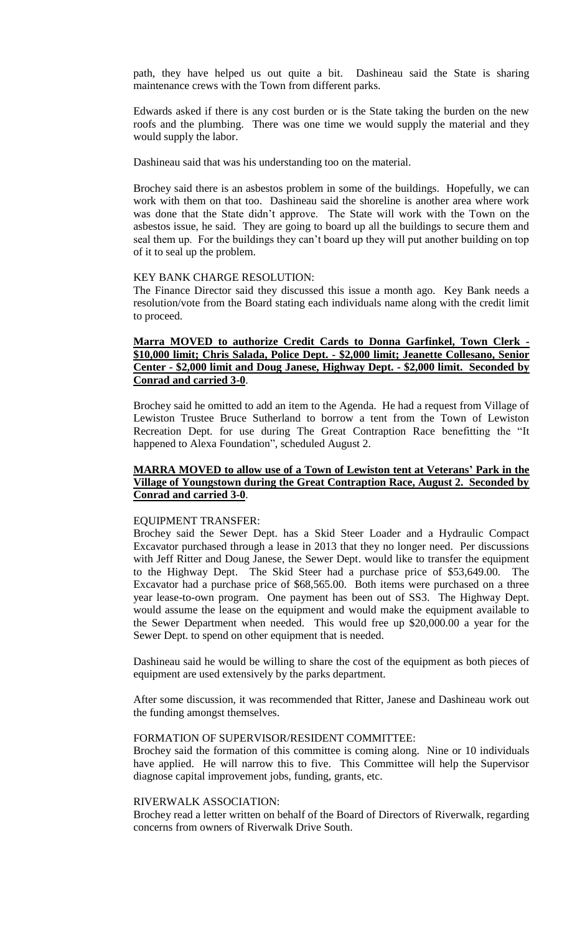path, they have helped us out quite a bit. Dashineau said the State is sharing maintenance crews with the Town from different parks.

Edwards asked if there is any cost burden or is the State taking the burden on the new roofs and the plumbing. There was one time we would supply the material and they would supply the labor.

Dashineau said that was his understanding too on the material.

Brochey said there is an asbestos problem in some of the buildings. Hopefully, we can work with them on that too. Dashineau said the shoreline is another area where work was done that the State didn't approve. The State will work with the Town on the asbestos issue, he said. They are going to board up all the buildings to secure them and seal them up. For the buildings they can't board up they will put another building on top of it to seal up the problem.

### KEY BANK CHARGE RESOLUTION:

The Finance Director said they discussed this issue a month ago. Key Bank needs a resolution/vote from the Board stating each individuals name along with the credit limit to proceed.

## **Marra MOVED to authorize Credit Cards to Donna Garfinkel, Town Clerk - \$10,000 limit; Chris Salada, Police Dept. - \$2,000 limit; Jeanette Collesano, Senior Center - \$2,000 limit and Doug Janese, Highway Dept. - \$2,000 limit. Seconded by Conrad and carried 3-0**.

Brochey said he omitted to add an item to the Agenda. He had a request from Village of Lewiston Trustee Bruce Sutherland to borrow a tent from the Town of Lewiston Recreation Dept. for use during The Great Contraption Race benefitting the "It happened to Alexa Foundation", scheduled August 2.

### **MARRA MOVED to allow use of a Town of Lewiston tent at Veterans' Park in the Village of Youngstown during the Great Contraption Race, August 2. Seconded by Conrad and carried 3-0**.

#### EQUIPMENT TRANSFER:

Brochey said the Sewer Dept. has a Skid Steer Loader and a Hydraulic Compact Excavator purchased through a lease in 2013 that they no longer need. Per discussions with Jeff Ritter and Doug Janese, the Sewer Dept. would like to transfer the equipment to the Highway Dept. The Skid Steer had a purchase price of \$53,649.00. The Excavator had a purchase price of \$68,565.00. Both items were purchased on a three year lease-to-own program. One payment has been out of SS3. The Highway Dept. would assume the lease on the equipment and would make the equipment available to the Sewer Department when needed. This would free up \$20,000.00 a year for the Sewer Dept. to spend on other equipment that is needed.

Dashineau said he would be willing to share the cost of the equipment as both pieces of equipment are used extensively by the parks department.

After some discussion, it was recommended that Ritter, Janese and Dashineau work out the funding amongst themselves.

#### FORMATION OF SUPERVISOR/RESIDENT COMMITTEE:

Brochey said the formation of this committee is coming along. Nine or 10 individuals have applied. He will narrow this to five. This Committee will help the Supervisor diagnose capital improvement jobs, funding, grants, etc.

### RIVERWALK ASSOCIATION:

Brochey read a letter written on behalf of the Board of Directors of Riverwalk, regarding concerns from owners of Riverwalk Drive South.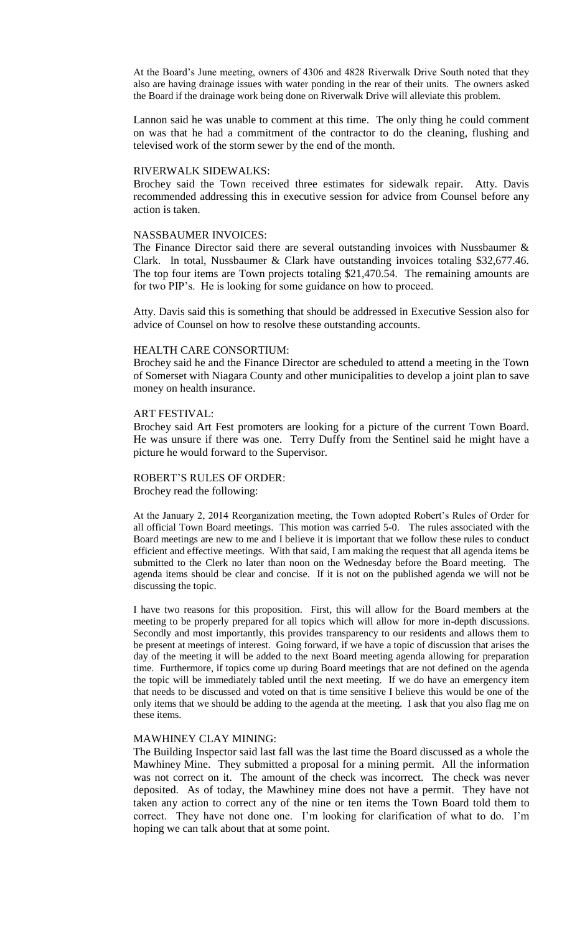At the Board's June meeting, owners of 4306 and 4828 Riverwalk Drive South noted that they also are having drainage issues with water ponding in the rear of their units. The owners asked the Board if the drainage work being done on Riverwalk Drive will alleviate this problem.

Lannon said he was unable to comment at this time. The only thing he could comment on was that he had a commitment of the contractor to do the cleaning, flushing and televised work of the storm sewer by the end of the month.

### RIVERWALK SIDEWALKS:

Brochey said the Town received three estimates for sidewalk repair. Atty. Davis recommended addressing this in executive session for advice from Counsel before any action is taken.

### NASSBAUMER INVOICES:

The Finance Director said there are several outstanding invoices with Nussbaumer & Clark. In total, Nussbaumer & Clark have outstanding invoices totaling \$32,677.46. The top four items are Town projects totaling \$21,470.54. The remaining amounts are for two PIP's. He is looking for some guidance on how to proceed.

Atty. Davis said this is something that should be addressed in Executive Session also for advice of Counsel on how to resolve these outstanding accounts.

### HEALTH CARE CONSORTIUM:

Brochey said he and the Finance Director are scheduled to attend a meeting in the Town of Somerset with Niagara County and other municipalities to develop a joint plan to save money on health insurance.

#### ART FESTIVAL:

Brochey said Art Fest promoters are looking for a picture of the current Town Board. He was unsure if there was one. Terry Duffy from the Sentinel said he might have a picture he would forward to the Supervisor.

### ROBERT'S RULES OF ORDER: Brochey read the following:

At the January 2, 2014 Reorganization meeting, the Town adopted Robert's Rules of Order for all official Town Board meetings. This motion was carried 5-0. The rules associated with the Board meetings are new to me and I believe it is important that we follow these rules to conduct efficient and effective meetings. With that said, I am making the request that all agenda items be submitted to the Clerk no later than noon on the Wednesday before the Board meeting. The agenda items should be clear and concise. If it is not on the published agenda we will not be discussing the topic.

I have two reasons for this proposition. First, this will allow for the Board members at the meeting to be properly prepared for all topics which will allow for more in-depth discussions. Secondly and most importantly, this provides transparency to our residents and allows them to be present at meetings of interest. Going forward, if we have a topic of discussion that arises the day of the meeting it will be added to the next Board meeting agenda allowing for preparation time. Furthermore, if topics come up during Board meetings that are not defined on the agenda the topic will be immediately tabled until the next meeting. If we do have an emergency item that needs to be discussed and voted on that is time sensitive I believe this would be one of the only items that we should be adding to the agenda at the meeting. I ask that you also flag me on these items.

#### MAWHINEY CLAY MINING:

The Building Inspector said last fall was the last time the Board discussed as a whole the Mawhiney Mine. They submitted a proposal for a mining permit. All the information was not correct on it. The amount of the check was incorrect. The check was never deposited. As of today, the Mawhiney mine does not have a permit. They have not taken any action to correct any of the nine or ten items the Town Board told them to correct. They have not done one. I'm looking for clarification of what to do. I'm hoping we can talk about that at some point.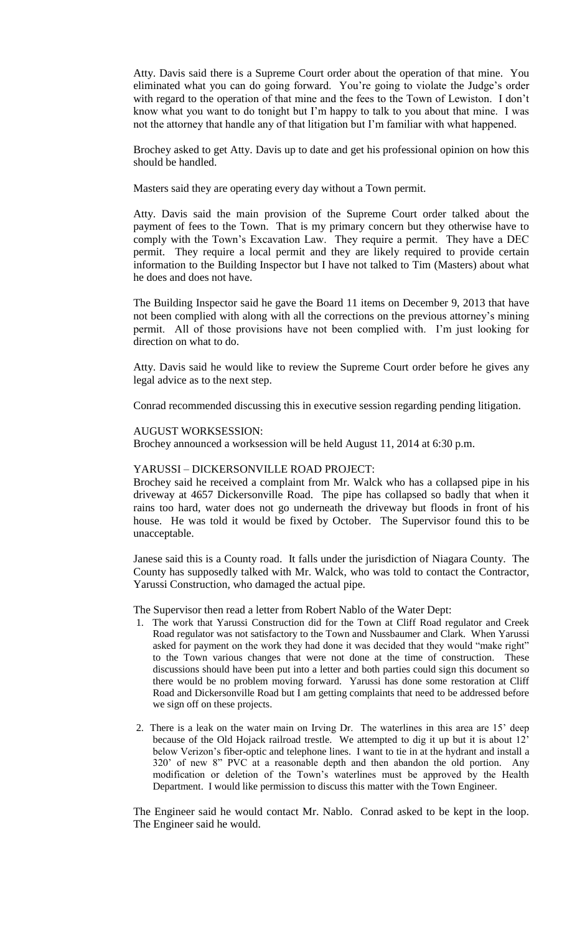Atty. Davis said there is a Supreme Court order about the operation of that mine. You eliminated what you can do going forward. You're going to violate the Judge's order with regard to the operation of that mine and the fees to the Town of Lewiston. I don't know what you want to do tonight but I'm happy to talk to you about that mine. I was not the attorney that handle any of that litigation but I'm familiar with what happened.

Brochey asked to get Atty. Davis up to date and get his professional opinion on how this should be handled.

Masters said they are operating every day without a Town permit.

Atty. Davis said the main provision of the Supreme Court order talked about the payment of fees to the Town. That is my primary concern but they otherwise have to comply with the Town's Excavation Law. They require a permit. They have a DEC permit. They require a local permit and they are likely required to provide certain information to the Building Inspector but I have not talked to Tim (Masters) about what he does and does not have.

The Building Inspector said he gave the Board 11 items on December 9, 2013 that have not been complied with along with all the corrections on the previous attorney's mining permit. All of those provisions have not been complied with. I'm just looking for direction on what to do.

Atty. Davis said he would like to review the Supreme Court order before he gives any legal advice as to the next step.

Conrad recommended discussing this in executive session regarding pending litigation.

### AUGUST WORKSESSION:

Brochey announced a worksession will be held August 11, 2014 at 6:30 p.m.

#### YARUSSI – DICKERSONVILLE ROAD PROJECT:

Brochey said he received a complaint from Mr. Walck who has a collapsed pipe in his driveway at 4657 Dickersonville Road. The pipe has collapsed so badly that when it rains too hard, water does not go underneath the driveway but floods in front of his house. He was told it would be fixed by October. The Supervisor found this to be unacceptable.

Janese said this is a County road. It falls under the jurisdiction of Niagara County. The County has supposedly talked with Mr. Walck, who was told to contact the Contractor, Yarussi Construction, who damaged the actual pipe.

The Supervisor then read a letter from Robert Nablo of the Water Dept:

- 1. The work that Yarussi Construction did for the Town at Cliff Road regulator and Creek Road regulator was not satisfactory to the Town and Nussbaumer and Clark. When Yarussi asked for payment on the work they had done it was decided that they would "make right" to the Town various changes that were not done at the time of construction. These discussions should have been put into a letter and both parties could sign this document so there would be no problem moving forward. Yarussi has done some restoration at Cliff Road and Dickersonville Road but I am getting complaints that need to be addressed before we sign off on these projects.
- 2. There is a leak on the water main on Irving Dr. The waterlines in this area are 15' deep because of the Old Hojack railroad trestle. We attempted to dig it up but it is about 12' below Verizon's fiber-optic and telephone lines. I want to tie in at the hydrant and install a 320' of new 8" PVC at a reasonable depth and then abandon the old portion. Any modification or deletion of the Town's waterlines must be approved by the Health Department. I would like permission to discuss this matter with the Town Engineer.

The Engineer said he would contact Mr. Nablo. Conrad asked to be kept in the loop. The Engineer said he would.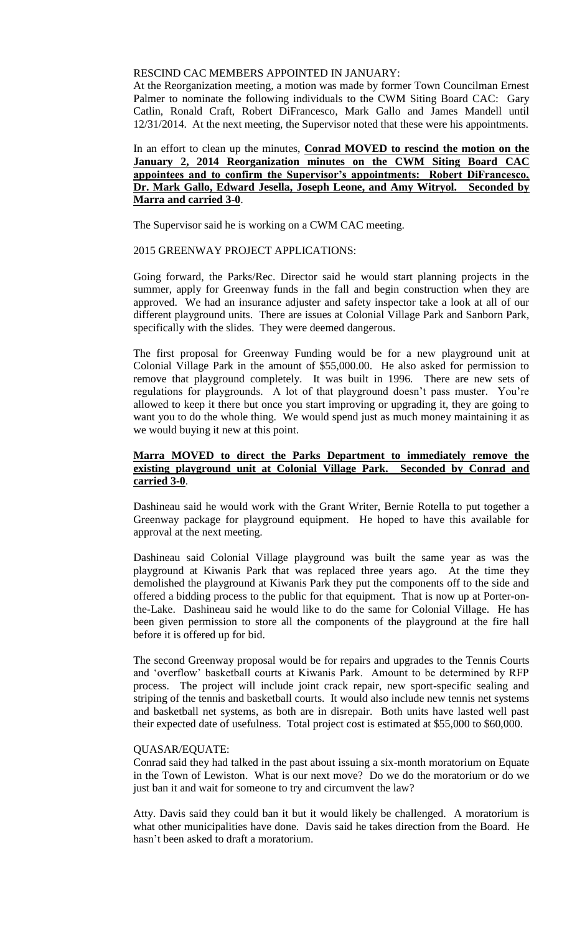## RESCIND CAC MEMBERS APPOINTED IN JANUARY:

At the Reorganization meeting, a motion was made by former Town Councilman Ernest Palmer to nominate the following individuals to the CWM Siting Board CAC: Gary Catlin, Ronald Craft, Robert DiFrancesco, Mark Gallo and James Mandell until 12/31/2014. At the next meeting, the Supervisor noted that these were his appointments.

## In an effort to clean up the minutes, **Conrad MOVED to rescind the motion on the January 2, 2014 Reorganization minutes on the CWM Siting Board CAC appointees and to confirm the Supervisor's appointments: Robert DiFrancesco, Dr. Mark Gallo, Edward Jesella, Joseph Leone, and Amy Witryol. Seconded by Marra and carried 3-0**.

The Supervisor said he is working on a CWM CAC meeting.

## 2015 GREENWAY PROJECT APPLICATIONS:

Going forward, the Parks/Rec. Director said he would start planning projects in the summer, apply for Greenway funds in the fall and begin construction when they are approved. We had an insurance adjuster and safety inspector take a look at all of our different playground units. There are issues at Colonial Village Park and Sanborn Park, specifically with the slides. They were deemed dangerous.

The first proposal for Greenway Funding would be for a new playground unit at Colonial Village Park in the amount of \$55,000.00. He also asked for permission to remove that playground completely. It was built in 1996. There are new sets of regulations for playgrounds. A lot of that playground doesn't pass muster. You're allowed to keep it there but once you start improving or upgrading it, they are going to want you to do the whole thing. We would spend just as much money maintaining it as we would buying it new at this point.

## **Marra MOVED to direct the Parks Department to immediately remove the existing playground unit at Colonial Village Park. Seconded by Conrad and carried 3-0**.

Dashineau said he would work with the Grant Writer, Bernie Rotella to put together a Greenway package for playground equipment. He hoped to have this available for approval at the next meeting.

Dashineau said Colonial Village playground was built the same year as was the playground at Kiwanis Park that was replaced three years ago. At the time they demolished the playground at Kiwanis Park they put the components off to the side and offered a bidding process to the public for that equipment. That is now up at Porter-onthe-Lake. Dashineau said he would like to do the same for Colonial Village. He has been given permission to store all the components of the playground at the fire hall before it is offered up for bid.

The second Greenway proposal would be for repairs and upgrades to the Tennis Courts and 'overflow' basketball courts at Kiwanis Park. Amount to be determined by RFP process. The project will include joint crack repair, new sport-specific sealing and striping of the tennis and basketball courts. It would also include new tennis net systems and basketball net systems, as both are in disrepair. Both units have lasted well past their expected date of usefulness. Total project cost is estimated at \$55,000 to \$60,000.

### QUASAR/EQUATE:

Conrad said they had talked in the past about issuing a six-month moratorium on Equate in the Town of Lewiston. What is our next move? Do we do the moratorium or do we just ban it and wait for someone to try and circumvent the law?

Atty. Davis said they could ban it but it would likely be challenged. A moratorium is what other municipalities have done. Davis said he takes direction from the Board. He hasn't been asked to draft a moratorium.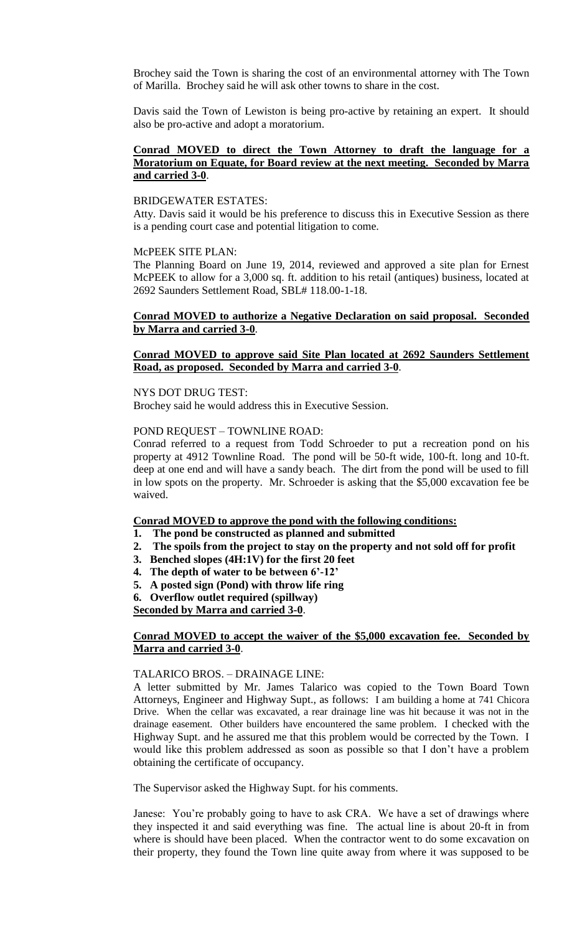Brochey said the Town is sharing the cost of an environmental attorney with The Town of Marilla. Brochey said he will ask other towns to share in the cost.

Davis said the Town of Lewiston is being pro-active by retaining an expert. It should also be pro-active and adopt a moratorium.

### **Conrad MOVED to direct the Town Attorney to draft the language for a Moratorium on Equate, for Board review at the next meeting. Seconded by Marra and carried 3-0**.

#### BRIDGEWATER ESTATES:

Atty. Davis said it would be his preference to discuss this in Executive Session as there is a pending court case and potential litigation to come.

#### McPEEK SITE PLAN:

The Planning Board on June 19, 2014, reviewed and approved a site plan for Ernest McPEEK to allow for a 3,000 sq. ft. addition to his retail (antiques) business, located at 2692 Saunders Settlement Road, SBL# 118.00-1-18.

## **Conrad MOVED to authorize a Negative Declaration on said proposal. Seconded by Marra and carried 3-0**.

## **Conrad MOVED to approve said Site Plan located at 2692 Saunders Settlement Road, as proposed. Seconded by Marra and carried 3-0**.

### NYS DOT DRUG TEST:

Brochey said he would address this in Executive Session.

### POND REQUEST – TOWNLINE ROAD:

Conrad referred to a request from Todd Schroeder to put a recreation pond on his property at 4912 Townline Road. The pond will be 50-ft wide, 100-ft. long and 10-ft. deep at one end and will have a sandy beach. The dirt from the pond will be used to fill in low spots on the property. Mr. Schroeder is asking that the \$5,000 excavation fee be waived.

### **Conrad MOVED to approve the pond with the following conditions:**

- **1. The pond be constructed as planned and submitted**
- **2. The spoils from the project to stay on the property and not sold off for profit**
- **3. Benched slopes (4H:1V) for the first 20 feet**
- **4. The depth of water to be between 6'-12'**
- **5. A posted sign (Pond) with throw life ring**
- **6. Overflow outlet required (spillway)**

**Seconded by Marra and carried 3-0**.

### **Conrad MOVED to accept the waiver of the \$5,000 excavation fee. Seconded by Marra and carried 3-0**.

#### TALARICO BROS. – DRAINAGE LINE:

A letter submitted by Mr. James Talarico was copied to the Town Board Town Attorneys, Engineer and Highway Supt., as follows: I am building a home at 741 Chicora Drive. When the cellar was excavated, a rear drainage line was hit because it was not in the drainage easement. Other builders have encountered the same problem. I checked with the Highway Supt. and he assured me that this problem would be corrected by the Town. I would like this problem addressed as soon as possible so that I don't have a problem obtaining the certificate of occupancy.

The Supervisor asked the Highway Supt. for his comments.

Janese: You're probably going to have to ask CRA. We have a set of drawings where they inspected it and said everything was fine. The actual line is about 20-ft in from where is should have been placed. When the contractor went to do some excavation on their property, they found the Town line quite away from where it was supposed to be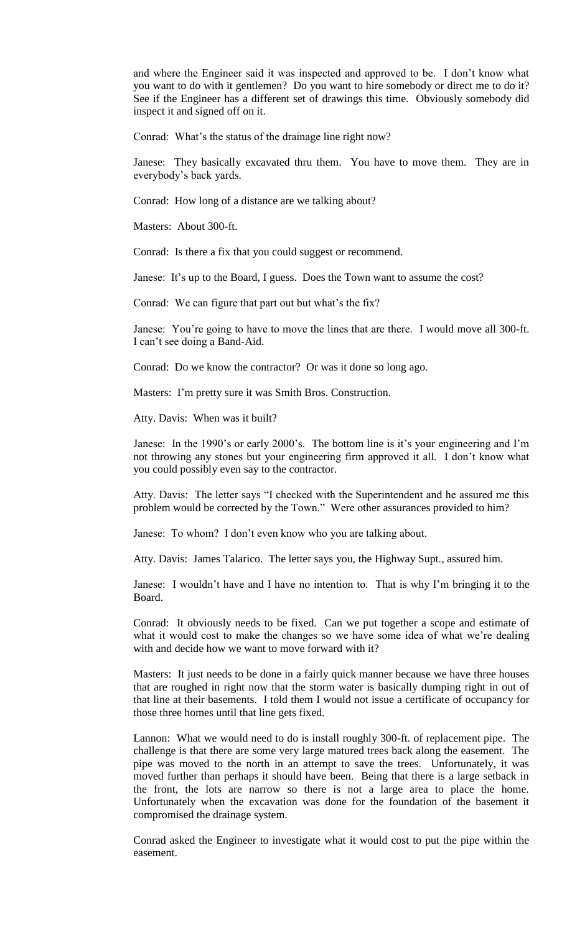and where the Engineer said it was inspected and approved to be. I don't know what you want to do with it gentlemen? Do you want to hire somebody or direct me to do it? See if the Engineer has a different set of drawings this time. Obviously somebody did inspect it and signed off on it.

Conrad: What's the status of the drainage line right now?

Janese: They basically excavated thru them. You have to move them. They are in everybody's back yards.

Conrad: How long of a distance are we talking about?

Masters: About 300-ft.

Conrad: Is there a fix that you could suggest or recommend.

Janese: It's up to the Board, I guess. Does the Town want to assume the cost?

Conrad: We can figure that part out but what's the fix?

Janese: You're going to have to move the lines that are there. I would move all 300-ft. I can't see doing a Band-Aid.

Conrad: Do we know the contractor? Or was it done so long ago.

Masters: I'm pretty sure it was Smith Bros. Construction.

Atty. Davis: When was it built?

Janese: In the 1990's or early 2000's. The bottom line is it's your engineering and I'm not throwing any stones but your engineering firm approved it all. I don't know what you could possibly even say to the contractor.

Atty. Davis: The letter says "I checked with the Superintendent and he assured me this problem would be corrected by the Town." Were other assurances provided to him?

Janese: To whom? I don't even know who you are talking about.

Atty. Davis: James Talarico. The letter says you, the Highway Supt., assured him.

Janese: I wouldn't have and I have no intention to. That is why I'm bringing it to the Board.

Conrad: It obviously needs to be fixed. Can we put together a scope and estimate of what it would cost to make the changes so we have some idea of what we're dealing with and decide how we want to move forward with it?

Masters: It just needs to be done in a fairly quick manner because we have three houses that are roughed in right now that the storm water is basically dumping right in out of that line at their basements. I told them I would not issue a certificate of occupancy for those three homes until that line gets fixed.

Lannon: What we would need to do is install roughly 300-ft. of replacement pipe. The challenge is that there are some very large matured trees back along the easement. The pipe was moved to the north in an attempt to save the trees. Unfortunately, it was moved further than perhaps it should have been. Being that there is a large setback in the front, the lots are narrow so there is not a large area to place the home. Unfortunately when the excavation was done for the foundation of the basement it compromised the drainage system.

Conrad asked the Engineer to investigate what it would cost to put the pipe within the easement.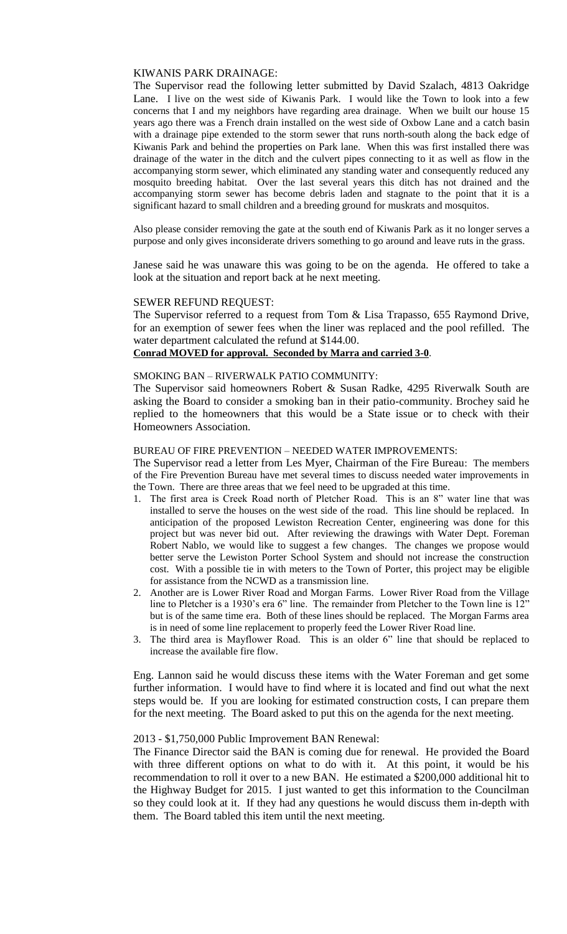### KIWANIS PARK DRAINAGE:

The Supervisor read the following letter submitted by David Szalach, 4813 Oakridge Lane. I live on the west side of Kiwanis Park. I would like the Town to look into a few concerns that I and my neighbors have regarding area drainage. When we built our house 15 years ago there was a French drain installed on the west side of Oxbow Lane and a catch basin with a drainage pipe extended to the storm sewer that runs north-south along the back edge of Kiwanis Park and behind the properties on Park lane. When this was first installed there was drainage of the water in the ditch and the culvert pipes connecting to it as well as flow in the accompanying storm sewer, which eliminated any standing water and consequently reduced any mosquito breeding habitat. Over the last several years this ditch has not drained and the accompanying storm sewer has become debris laden and stagnate to the point that it is a significant hazard to small children and a breeding ground for muskrats and mosquitos.

Also please consider removing the gate at the south end of Kiwanis Park as it no longer serves a purpose and only gives inconsiderate drivers something to go around and leave ruts in the grass.

Janese said he was unaware this was going to be on the agenda. He offered to take a look at the situation and report back at he next meeting.

### SEWER REFUND REQUEST:

The Supervisor referred to a request from Tom & Lisa Trapasso, 655 Raymond Drive, for an exemption of sewer fees when the liner was replaced and the pool refilled. The water department calculated the refund at \$144.00.

## **Conrad MOVED for approval. Seconded by Marra and carried 3-0**.

#### SMOKING BAN – RIVERWALK PATIO COMMUNITY:

The Supervisor said homeowners Robert & Susan Radke, 4295 Riverwalk South are asking the Board to consider a smoking ban in their patio-community. Brochey said he replied to the homeowners that this would be a State issue or to check with their Homeowners Association.

### BUREAU OF FIRE PREVENTION – NEEDED WATER IMPROVEMENTS:

The Supervisor read a letter from Les Myer, Chairman of the Fire Bureau: The members of the Fire Prevention Bureau have met several times to discuss needed water improvements in the Town. There are three areas that we feel need to be upgraded at this time.

- 1. The first area is Creek Road north of Pletcher Road. This is an 8" water line that was installed to serve the houses on the west side of the road. This line should be replaced. In anticipation of the proposed Lewiston Recreation Center, engineering was done for this project but was never bid out. After reviewing the drawings with Water Dept. Foreman Robert Nablo, we would like to suggest a few changes. The changes we propose would better serve the Lewiston Porter School System and should not increase the construction cost. With a possible tie in with meters to the Town of Porter, this project may be eligible for assistance from the NCWD as a transmission line.
- 2. Another are is Lower River Road and Morgan Farms. Lower River Road from the Village line to Pletcher is a 1930's era 6" line. The remainder from Pletcher to the Town line is 12" but is of the same time era. Both of these lines should be replaced. The Morgan Farms area is in need of some line replacement to properly feed the Lower River Road line.
- 3. The third area is Mayflower Road. This is an older 6" line that should be replaced to increase the available fire flow.

Eng. Lannon said he would discuss these items with the Water Foreman and get some further information. I would have to find where it is located and find out what the next steps would be. If you are looking for estimated construction costs, I can prepare them for the next meeting. The Board asked to put this on the agenda for the next meeting.

#### 2013 - \$1,750,000 Public Improvement BAN Renewal:

The Finance Director said the BAN is coming due for renewal. He provided the Board with three different options on what to do with it. At this point, it would be his recommendation to roll it over to a new BAN. He estimated a \$200,000 additional hit to the Highway Budget for 2015. I just wanted to get this information to the Councilman so they could look at it. If they had any questions he would discuss them in-depth with them. The Board tabled this item until the next meeting.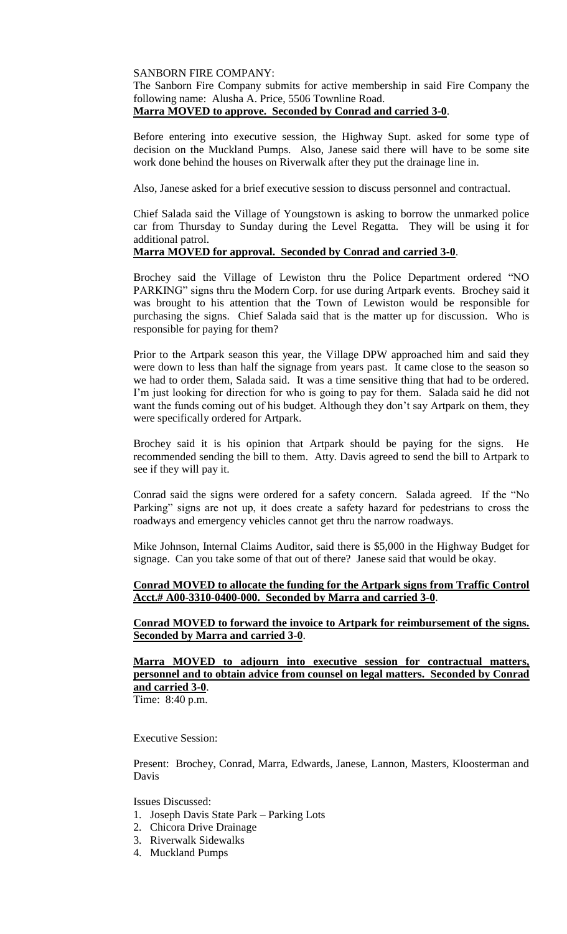### SANBORN FIRE COMPANY:

The Sanborn Fire Company submits for active membership in said Fire Company the following name: Alusha A. Price, 5506 Townline Road.

## **Marra MOVED to approve. Seconded by Conrad and carried 3-0**.

Before entering into executive session, the Highway Supt. asked for some type of decision on the Muckland Pumps. Also, Janese said there will have to be some site work done behind the houses on Riverwalk after they put the drainage line in.

Also, Janese asked for a brief executive session to discuss personnel and contractual.

Chief Salada said the Village of Youngstown is asking to borrow the unmarked police car from Thursday to Sunday during the Level Regatta. They will be using it for additional patrol.

## **Marra MOVED for approval. Seconded by Conrad and carried 3-0**.

Brochey said the Village of Lewiston thru the Police Department ordered "NO PARKING" signs thru the Modern Corp. for use during Artpark events. Brochey said it was brought to his attention that the Town of Lewiston would be responsible for purchasing the signs. Chief Salada said that is the matter up for discussion. Who is responsible for paying for them?

Prior to the Artpark season this year, the Village DPW approached him and said they were down to less than half the signage from years past. It came close to the season so we had to order them, Salada said. It was a time sensitive thing that had to be ordered. I'm just looking for direction for who is going to pay for them. Salada said he did not want the funds coming out of his budget. Although they don't say Artpark on them, they were specifically ordered for Artpark.

Brochey said it is his opinion that Artpark should be paying for the signs. He recommended sending the bill to them. Atty. Davis agreed to send the bill to Artpark to see if they will pay it.

Conrad said the signs were ordered for a safety concern. Salada agreed. If the "No Parking" signs are not up, it does create a safety hazard for pedestrians to cross the roadways and emergency vehicles cannot get thru the narrow roadways.

Mike Johnson, Internal Claims Auditor, said there is \$5,000 in the Highway Budget for signage. Can you take some of that out of there? Janese said that would be okay.

### **Conrad MOVED to allocate the funding for the Artpark signs from Traffic Control Acct.# A00-3310-0400-000. Seconded by Marra and carried 3-0**.

### **Conrad MOVED to forward the invoice to Artpark for reimbursement of the signs. Seconded by Marra and carried 3-0**.

# **Marra MOVED to adjourn into executive session for contractual matters, personnel and to obtain advice from counsel on legal matters. Seconded by Conrad and carried 3-0**.

Time: 8:40 p.m.

### Executive Session:

Present: Brochey, Conrad, Marra, Edwards, Janese, Lannon, Masters, Kloosterman and Davis

Issues Discussed:

- 1. Joseph Davis State Park Parking Lots
- 2. Chicora Drive Drainage
- 3. Riverwalk Sidewalks
- 4. Muckland Pumps